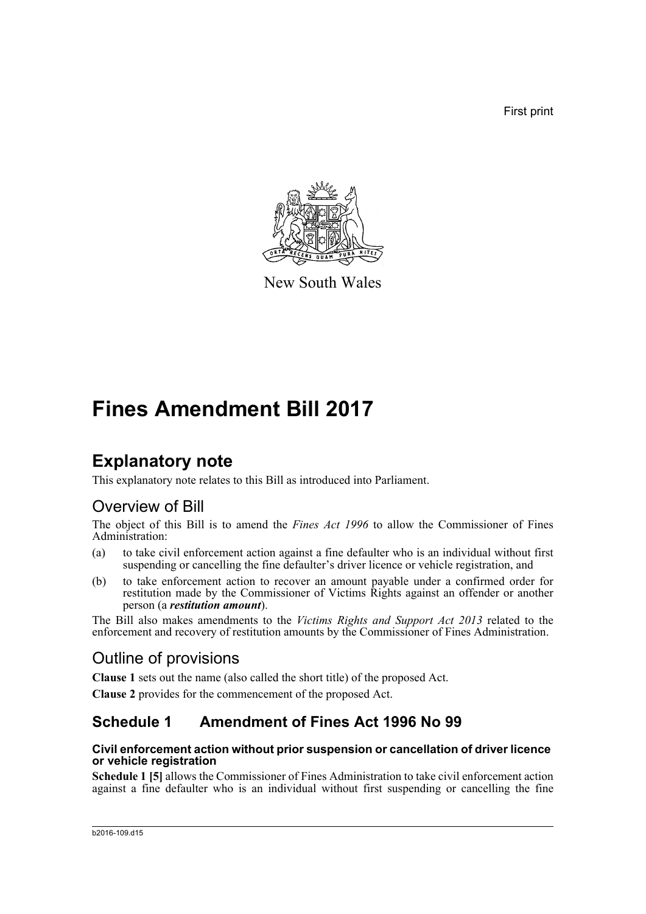First print



New South Wales

# **Fines Amendment Bill 2017**

# **Explanatory note**

This explanatory note relates to this Bill as introduced into Parliament.

# Overview of Bill

The object of this Bill is to amend the *Fines Act 1996* to allow the Commissioner of Fines Administration:

- (a) to take civil enforcement action against a fine defaulter who is an individual without first suspending or cancelling the fine defaulter's driver licence or vehicle registration, and
- (b) to take enforcement action to recover an amount payable under a confirmed order for restitution made by the Commissioner of Victims Rights against an offender or another person (a *restitution amount*).

The Bill also makes amendments to the *Victims Rights and Support Act 2013* related to the enforcement and recovery of restitution amounts by the Commissioner of Fines Administration.

# Outline of provisions

**Clause 1** sets out the name (also called the short title) of the proposed Act.

**Clause 2** provides for the commencement of the proposed Act.

## **Schedule 1 Amendment of Fines Act 1996 No 99**

### **Civil enforcement action without prior suspension or cancellation of driver licence or vehicle registration**

**Schedule 1 [5]** allows the Commissioner of Fines Administration to take civil enforcement action against a fine defaulter who is an individual without first suspending or cancelling the fine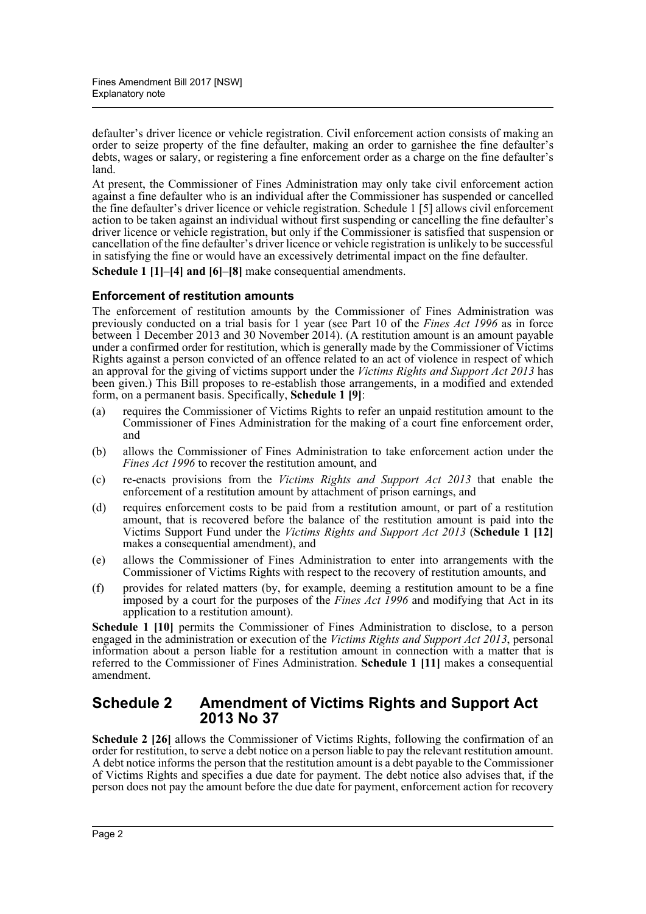defaulter's driver licence or vehicle registration. Civil enforcement action consists of making an order to seize property of the fine defaulter, making an order to garnishee the fine defaulter's debts, wages or salary, or registering a fine enforcement order as a charge on the fine defaulter's land.

At present, the Commissioner of Fines Administration may only take civil enforcement action against a fine defaulter who is an individual after the Commissioner has suspended or cancelled the fine defaulter's driver licence or vehicle registration. Schedule 1 [5] allows civil enforcement action to be taken against an individual without first suspending or cancelling the fine defaulter's driver licence or vehicle registration, but only if the Commissioner is satisfied that suspension or cancellation of the fine defaulter's driver licence or vehicle registration is unlikely to be successful in satisfying the fine or would have an excessively detrimental impact on the fine defaulter.

**Schedule 1 [1]–[4] and [6]–[8]** make consequential amendments.

### **Enforcement of restitution amounts**

The enforcement of restitution amounts by the Commissioner of Fines Administration was previously conducted on a trial basis for 1 year (see Part 10 of the *Fines Act 1996* as in force between 1 December 2013 and 30 November 2014). (A restitution amount is an amount payable under a confirmed order for restitution, which is generally made by the Commissioner of Victims Rights against a person convicted of an offence related to an act of violence in respect of which an approval for the giving of victims support under the *Victims Rights and Support Act 2013* has been given.) This Bill proposes to re-establish those arrangements, in a modified and extended form, on a permanent basis. Specifically, **Schedule 1 [9]**:

- (a) requires the Commissioner of Victims Rights to refer an unpaid restitution amount to the Commissioner of Fines Administration for the making of a court fine enforcement order, and
- (b) allows the Commissioner of Fines Administration to take enforcement action under the *Fines Act 1996* to recover the restitution amount, and
- (c) re-enacts provisions from the *Victims Rights and Support Act 2013* that enable the enforcement of a restitution amount by attachment of prison earnings, and
- (d) requires enforcement costs to be paid from a restitution amount, or part of a restitution amount, that is recovered before the balance of the restitution amount is paid into the Victims Support Fund under the *Victims Rights and Support Act 2013* (**Schedule 1 [12]** makes a consequential amendment), and
- (e) allows the Commissioner of Fines Administration to enter into arrangements with the Commissioner of Victims Rights with respect to the recovery of restitution amounts, and
- (f) provides for related matters (by, for example, deeming a restitution amount to be a fine imposed by a court for the purposes of the *Fines Act 1996* and modifying that Act in its application to a restitution amount).

**Schedule 1 [10]** permits the Commissioner of Fines Administration to disclose, to a person engaged in the administration or execution of the *Victims Rights and Support Act 2013*, personal information about a person liable for a restitution amount in connection with a matter that is referred to the Commissioner of Fines Administration. **Schedule 1 [11]** makes a consequential amendment.

## **Schedule 2 Amendment of Victims Rights and Support Act 2013 No 37**

**Schedule 2 [26]** allows the Commissioner of Victims Rights, following the confirmation of an order for restitution, to serve a debt notice on a person liable to pay the relevant restitution amount. A debt notice informs the person that the restitution amount is a debt payable to the Commissioner of Victims Rights and specifies a due date for payment. The debt notice also advises that, if the person does not pay the amount before the due date for payment, enforcement action for recovery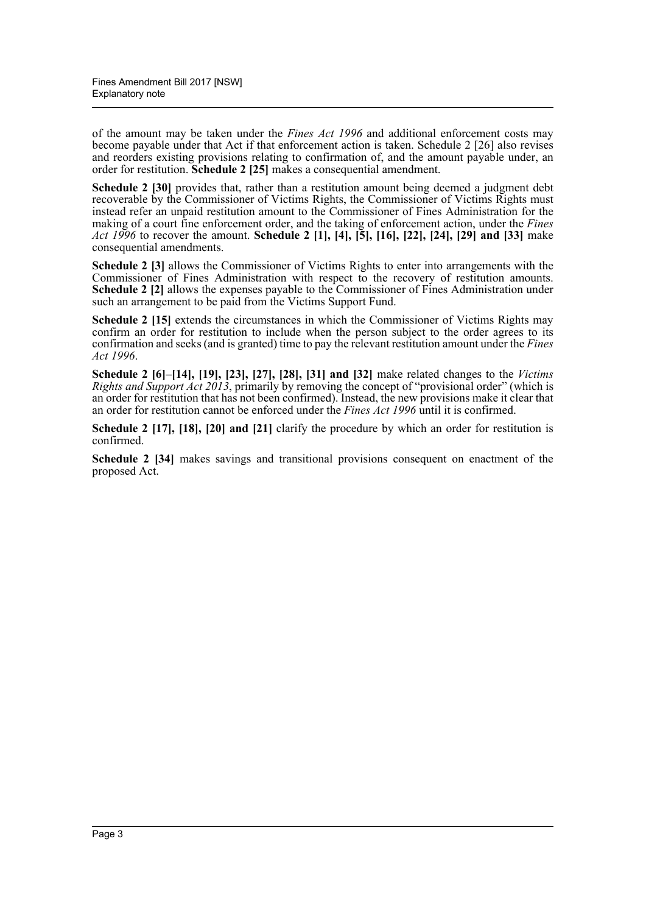of the amount may be taken under the *Fines Act 1996* and additional enforcement costs may become payable under that Act if that enforcement action is taken. Schedule 2 [26] also revises and reorders existing provisions relating to confirmation of, and the amount payable under, an order for restitution. **Schedule 2 [25]** makes a consequential amendment.

**Schedule 2 [30]** provides that, rather than a restitution amount being deemed a judgment debt recoverable by the Commissioner of Victims Rights, the Commissioner of Victims Rights must instead refer an unpaid restitution amount to the Commissioner of Fines Administration for the making of a court fine enforcement order, and the taking of enforcement action, under the *Fines Act 1996* to recover the amount. **Schedule 2 [1], [4], [5], [16], [22], [24], [29] and [33]** make consequential amendments.

**Schedule 2 [3]** allows the Commissioner of Victims Rights to enter into arrangements with the Commissioner of Fines Administration with respect to the recovery of restitution amounts. **Schedule 2 [2]** allows the expenses payable to the Commissioner of Fines Administration under such an arrangement to be paid from the Victims Support Fund.

**Schedule 2 [15]** extends the circumstances in which the Commissioner of Victims Rights may confirm an order for restitution to include when the person subject to the order agrees to its confirmation and seeks (and is granted) time to pay the relevant restitution amount under the *Fines Act 1996*.

**Schedule 2 [6]–[14], [19], [23], [27], [28], [31] and [32]** make related changes to the *Victims Rights and Support Act 2013*, primarily by removing the concept of "provisional order" (which is an order for restitution that has not been confirmed). Instead, the new provisions make it clear that an order for restitution cannot be enforced under the *Fines Act 1996* until it is confirmed.

**Schedule 2 [17], [18], [20] and [21]** clarify the procedure by which an order for restitution is confirmed.

**Schedule 2 [34]** makes savings and transitional provisions consequent on enactment of the proposed Act.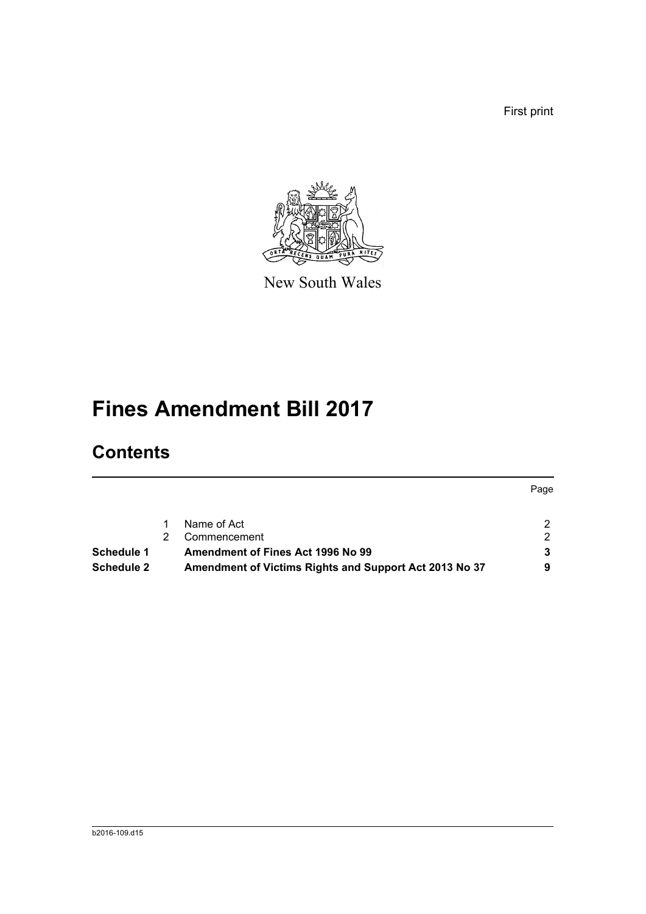First print



New South Wales

# **Fines Amendment Bill 2017**

# **Contents**

|                   |                                                        | Page |
|-------------------|--------------------------------------------------------|------|
|                   | Name of Act                                            | 2.   |
|                   | Commencement                                           | 2.   |
| <b>Schedule 1</b> | Amendment of Fines Act 1996 No 99                      | 3    |
| Schedule 2        | Amendment of Victims Rights and Support Act 2013 No 37 |      |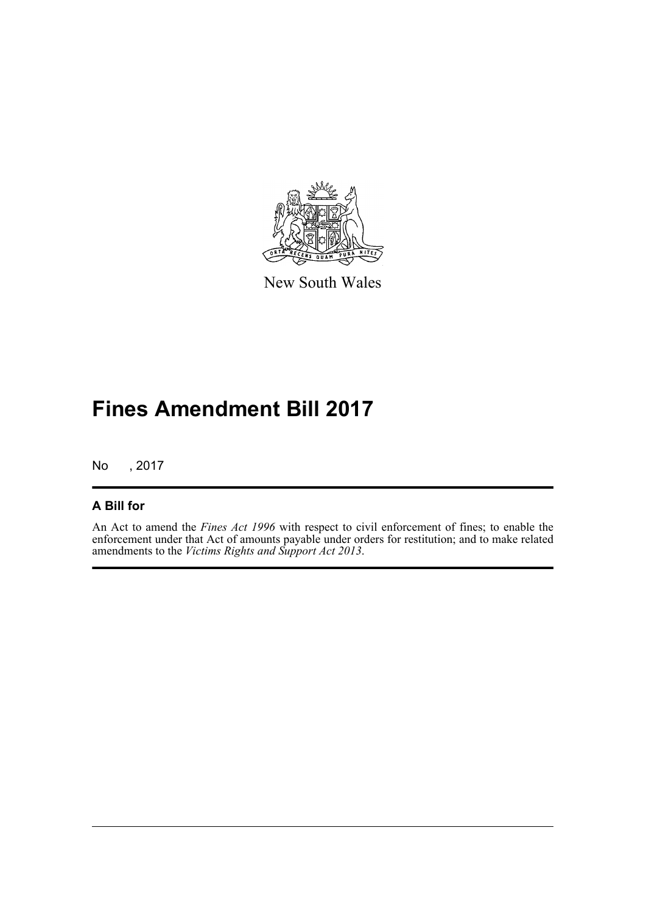

New South Wales

# **Fines Amendment Bill 2017**

No , 2017

### **A Bill for**

An Act to amend the *Fines Act 1996* with respect to civil enforcement of fines; to enable the enforcement under that Act of amounts payable under orders for restitution; and to make related amendments to the *Victims Rights and Support Act 2013*.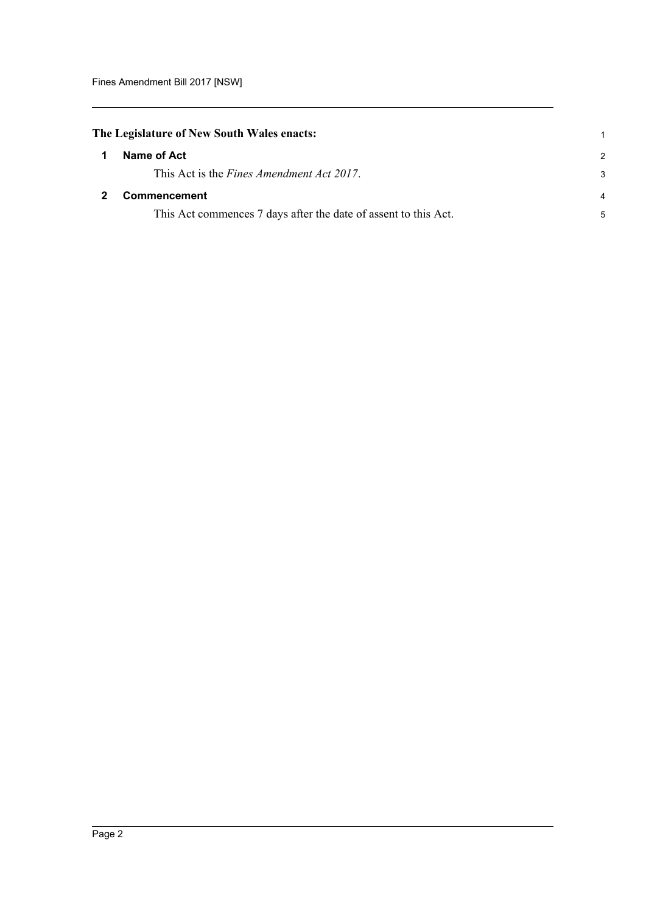<span id="page-5-1"></span><span id="page-5-0"></span>

|              | The Legislature of New South Wales enacts:                      |               |
|--------------|-----------------------------------------------------------------|---------------|
| $\mathbf 1$  | Name of Act                                                     | $\mathcal{P}$ |
|              | This Act is the <i>Fines Amendment Act 2017</i> .               | 3             |
| $\mathbf{2}$ | <b>Commencement</b>                                             | 4             |
|              | This Act commences 7 days after the date of assent to this Act. | 5             |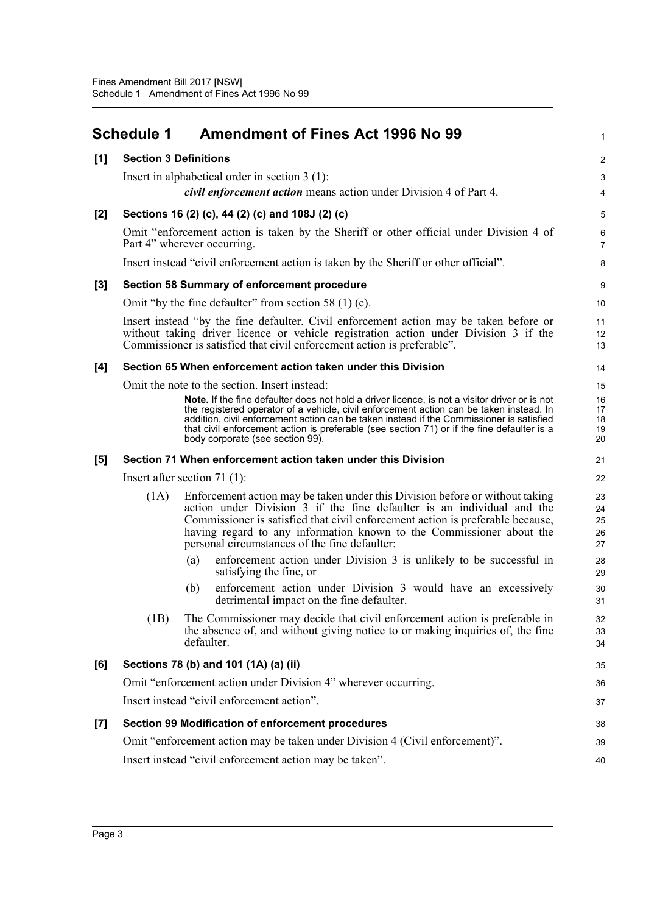<span id="page-6-0"></span>

|       | <b>Schedule 1</b>               |            | <b>Amendment of Fines Act 1996 No 99</b>                                                                                                                                                                                                                                                                                                                                                                               | $\mathbf{1}$               |
|-------|---------------------------------|------------|------------------------------------------------------------------------------------------------------------------------------------------------------------------------------------------------------------------------------------------------------------------------------------------------------------------------------------------------------------------------------------------------------------------------|----------------------------|
| [1]   | <b>Section 3 Definitions</b>    |            |                                                                                                                                                                                                                                                                                                                                                                                                                        | $\overline{c}$             |
|       |                                 |            | Insert in alphabetical order in section $3(1)$ :                                                                                                                                                                                                                                                                                                                                                                       | 3                          |
|       |                                 |            | <i>civil enforcement action</i> means action under Division 4 of Part 4.                                                                                                                                                                                                                                                                                                                                               | 4                          |
| $[2]$ |                                 |            | Sections 16 (2) (c), 44 (2) (c) and 108J (2) (c)                                                                                                                                                                                                                                                                                                                                                                       | 5                          |
|       | Part 4" wherever occurring.     |            | Omit "enforcement action is taken by the Sheriff or other official under Division 4 of                                                                                                                                                                                                                                                                                                                                 | 6<br>$\overline{7}$        |
|       |                                 |            | Insert instead "civil enforcement action is taken by the Sheriff or other official".                                                                                                                                                                                                                                                                                                                                   | 8                          |
| $[3]$ |                                 |            | Section 58 Summary of enforcement procedure                                                                                                                                                                                                                                                                                                                                                                            | 9                          |
|       |                                 |            | Omit "by the fine defaulter" from section 58 $(1)$ (c).                                                                                                                                                                                                                                                                                                                                                                | 10                         |
|       |                                 |            | Insert instead "by the fine defaulter. Civil enforcement action may be taken before or<br>without taking driver licence or vehicle registration action under Division 3 if the<br>Commissioner is satisfied that civil enforcement action is preferable".                                                                                                                                                              | 11<br>12<br>13             |
| [4]   |                                 |            | Section 65 When enforcement action taken under this Division                                                                                                                                                                                                                                                                                                                                                           | 14                         |
|       |                                 |            | Omit the note to the section. Insert instead:                                                                                                                                                                                                                                                                                                                                                                          | 15                         |
|       |                                 |            | Note. If the fine defaulter does not hold a driver licence, is not a visitor driver or is not<br>the registered operator of a vehicle, civil enforcement action can be taken instead. In<br>addition, civil enforcement action can be taken instead if the Commissioner is satisfied<br>that civil enforcement action is preferable (see section 71) or if the fine defaulter is a<br>body corporate (see section 99). | 16<br>17<br>18<br>19<br>20 |
| [5]   |                                 |            | Section 71 When enforcement action taken under this Division                                                                                                                                                                                                                                                                                                                                                           | 21                         |
|       | Insert after section 71 $(1)$ : |            |                                                                                                                                                                                                                                                                                                                                                                                                                        | 22                         |
|       | (1A)                            |            | Enforcement action may be taken under this Division before or without taking<br>action under Division 3 if the fine defaulter is an individual and the<br>Commissioner is satisfied that civil enforcement action is preferable because,<br>having regard to any information known to the Commissioner about the<br>personal circumstances of the fine defaulter:                                                      | 23<br>24<br>25<br>26<br>27 |
|       |                                 | (a)        | enforcement action under Division 3 is unlikely to be successful in<br>satisfying the fine, or                                                                                                                                                                                                                                                                                                                         | 28<br>29                   |
|       |                                 | (b)        | enforcement action under Division 3 would have an excessively<br>detrimental impact on the fine defaulter.                                                                                                                                                                                                                                                                                                             | 30<br>31                   |
|       | (1B)                            | defaulter. | The Commissioner may decide that civil enforcement action is preferable in<br>the absence of, and without giving notice to or making inquiries of, the fine                                                                                                                                                                                                                                                            | 32<br>33<br>34             |
| [6]   |                                 |            | Sections 78 (b) and 101 (1A) (a) (ii)                                                                                                                                                                                                                                                                                                                                                                                  | 35                         |
|       |                                 |            | Omit "enforcement action under Division 4" wherever occurring.                                                                                                                                                                                                                                                                                                                                                         | 36                         |
|       |                                 |            | Insert instead "civil enforcement action".                                                                                                                                                                                                                                                                                                                                                                             | 37                         |
| $[7]$ |                                 |            | Section 99 Modification of enforcement procedures                                                                                                                                                                                                                                                                                                                                                                      | 38                         |
|       |                                 |            | Omit "enforcement action may be taken under Division 4 (Civil enforcement)".                                                                                                                                                                                                                                                                                                                                           | 39                         |
|       |                                 |            | Insert instead "civil enforcement action may be taken".                                                                                                                                                                                                                                                                                                                                                                | 40                         |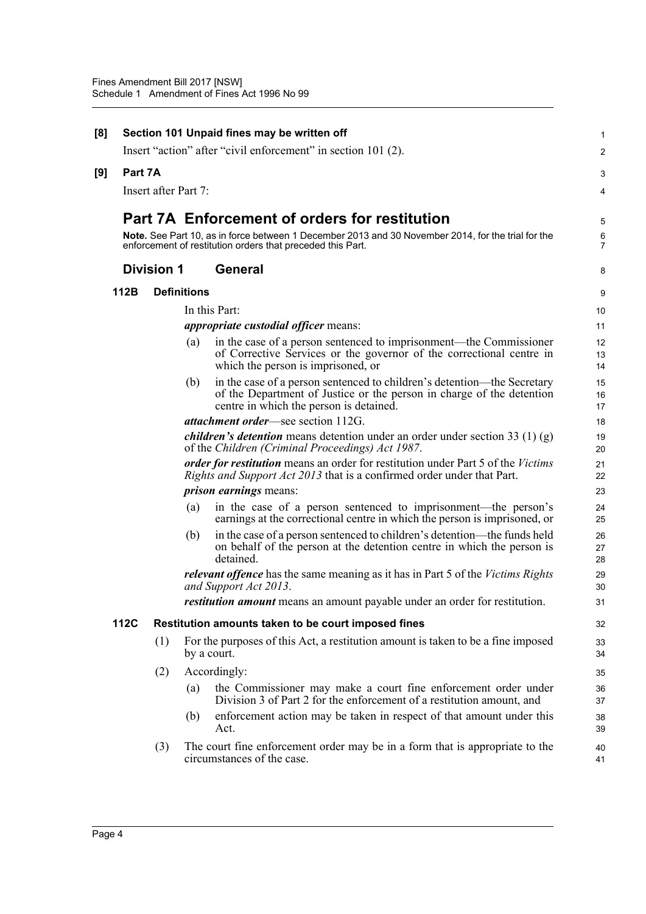| [8] |         |                      |                    | Section 101 Unpaid fines may be written off                                                                                                                                                 | 1                   |
|-----|---------|----------------------|--------------------|---------------------------------------------------------------------------------------------------------------------------------------------------------------------------------------------|---------------------|
|     |         |                      |                    | Insert "action" after "civil enforcement" in section 101 (2).                                                                                                                               | 2                   |
| [9] | Part 7A |                      |                    |                                                                                                                                                                                             | 3                   |
|     |         | Insert after Part 7: |                    |                                                                                                                                                                                             | 4                   |
|     |         |                      |                    | <b>Part 7A Enforcement of orders for restitution</b>                                                                                                                                        | 5                   |
|     |         |                      |                    | Note. See Part 10, as in force between 1 December 2013 and 30 November 2014, for the trial for the<br>enforcement of restitution orders that preceded this Part.                            | 6<br>$\overline{7}$ |
|     |         | <b>Division 1</b>    |                    | <b>General</b>                                                                                                                                                                              | 8                   |
|     | 112B    |                      | <b>Definitions</b> |                                                                                                                                                                                             | 9                   |
|     |         |                      |                    | In this Part:                                                                                                                                                                               | 10                  |
|     |         |                      |                    | <i>appropriate custodial officer means:</i>                                                                                                                                                 | 11                  |
|     |         |                      | (a)                | in the case of a person sentenced to imprisonment—the Commissioner<br>of Corrective Services or the governor of the correctional centre in<br>which the person is imprisoned, or            | 12<br>13<br>14      |
|     |         |                      | (b)                | in the case of a person sentenced to children's detention—the Secretary<br>of the Department of Justice or the person in charge of the detention<br>centre in which the person is detained. | 15<br>16<br>17      |
|     |         |                      |                    | <i>attachment order</i> —see section 112G.                                                                                                                                                  | 18                  |
|     |         |                      |                    | <i>children's detention</i> means detention under an order under section 33 (1) (g)<br>of the Children (Criminal Proceedings) Act 1987.                                                     | 19<br>20            |
|     |         |                      |                    | order for restitution means an order for restitution under Part 5 of the Victims<br><i>Rights and Support Act 2013</i> that is a confirmed order under that Part.                           | 21<br>22            |
|     |         |                      |                    | <i>prison earnings</i> means:                                                                                                                                                               | 23                  |
|     |         |                      | (a)                | in the case of a person sentenced to imprisonment—the person's<br>earnings at the correctional centre in which the person is imprisoned, or                                                 | 24<br>25            |
|     |         |                      | (b)                | in the case of a person sentenced to children's detention-the funds held<br>on behalf of the person at the detention centre in which the person is<br>detained.                             | 26<br>27<br>28      |
|     |         |                      |                    | relevant offence has the same meaning as it has in Part 5 of the Victims Rights<br>and Support Act 2013.                                                                                    | 29<br>30            |
|     |         |                      |                    | <i>restitution amount</i> means an amount payable under an order for restitution.                                                                                                           | 31                  |
|     | 112C    |                      |                    | Restitution amounts taken to be court imposed fines                                                                                                                                         | 32                  |
|     |         | (1)                  |                    | For the purposes of this Act, a restitution amount is taken to be a fine imposed<br>by a court.                                                                                             | 33<br>34            |
|     |         | (2)                  |                    | Accordingly:                                                                                                                                                                                | 35                  |
|     |         |                      | (a)                | the Commissioner may make a court fine enforcement order under<br>Division 3 of Part 2 for the enforcement of a restitution amount, and                                                     | 36<br>37            |
|     |         |                      | (b)                | enforcement action may be taken in respect of that amount under this<br>Act.                                                                                                                | 38<br>39            |
|     |         | (3)                  |                    | The court fine enforcement order may be in a form that is appropriate to the<br>circumstances of the case.                                                                                  | 40<br>41            |
|     |         |                      |                    |                                                                                                                                                                                             |                     |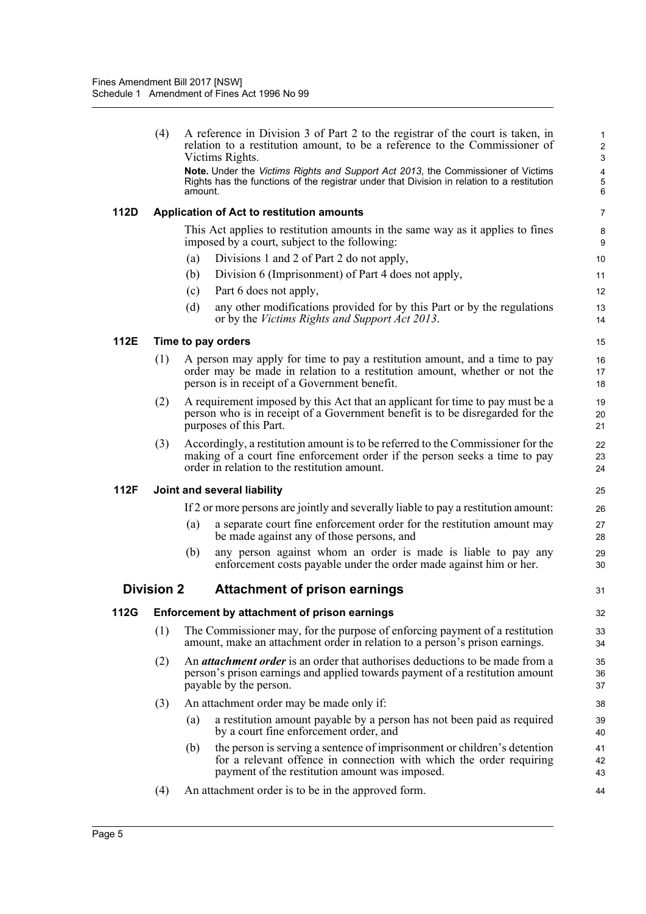|             | (4)               |         | A reference in Division 3 of Part 2 to the registrar of the court is taken, in<br>relation to a restitution amount, to be a reference to the Commissioner of<br>Victims Rights.                               | $\mathbf{1}$<br>$\overline{c}$<br>3 |
|-------------|-------------------|---------|---------------------------------------------------------------------------------------------------------------------------------------------------------------------------------------------------------------|-------------------------------------|
|             |                   | amount. | Note. Under the Victims Rights and Support Act 2013, the Commissioner of Victims<br>Rights has the functions of the registrar under that Division in relation to a restitution                                | $\overline{\mathbf{4}}$<br>5<br>6   |
| <b>112D</b> |                   |         | Application of Act to restitution amounts                                                                                                                                                                     | $\overline{7}$                      |
|             |                   |         | This Act applies to restitution amounts in the same way as it applies to fines<br>imposed by a court, subject to the following:                                                                               | 8<br>9                              |
|             |                   | (a)     | Divisions 1 and 2 of Part 2 do not apply,                                                                                                                                                                     | 10                                  |
|             |                   | (b)     | Division 6 (Imprisonment) of Part 4 does not apply,                                                                                                                                                           | 11                                  |
|             |                   | (c)     | Part 6 does not apply,                                                                                                                                                                                        | 12                                  |
|             |                   | (d)     | any other modifications provided for by this Part or by the regulations<br>or by the <i>Victims Rights and Support Act 2013</i> .                                                                             | 13<br>14                            |
| 112E        |                   |         | Time to pay orders                                                                                                                                                                                            | 15                                  |
|             | (1)               |         | A person may apply for time to pay a restitution amount, and a time to pay<br>order may be made in relation to a restitution amount, whether or not the<br>person is in receipt of a Government benefit.      | 16<br>17<br>18                      |
|             | (2)               |         | A requirement imposed by this Act that an applicant for time to pay must be a<br>person who is in receipt of a Government benefit is to be disregarded for the<br>purposes of this Part.                      | 19<br>20<br>21                      |
|             | (3)               |         | Accordingly, a restitution amount is to be referred to the Commissioner for the<br>making of a court fine enforcement order if the person seeks a time to pay<br>order in relation to the restitution amount. | 22<br>23<br>24                      |
| 112F        |                   |         | Joint and several liability                                                                                                                                                                                   | 25                                  |
|             |                   |         | If 2 or more persons are jointly and severally liable to pay a restitution amount:                                                                                                                            | 26                                  |
|             |                   | (a)     | a separate court fine enforcement order for the restitution amount may<br>be made against any of those persons, and                                                                                           | 27<br>28                            |
|             |                   | (b)     | any person against whom an order is made is liable to pay any<br>enforcement costs payable under the order made against him or her.                                                                           | 29<br>30                            |
|             | <b>Division 2</b> |         | <b>Attachment of prison earnings</b>                                                                                                                                                                          | 31                                  |
| 112G        |                   |         | Enforcement by attachment of prison earnings                                                                                                                                                                  | 32                                  |
|             | (1)               |         | The Commissioner may, for the purpose of enforcing payment of a restitution<br>amount, make an attachment order in relation to a person's prison earnings.                                                    | 33<br>34                            |
|             | (2)               |         | An <i>attachment order</i> is an order that authorises deductions to be made from a<br>person's prison earnings and applied towards payment of a restitution amount<br>payable by the person.                 | 35<br>36<br>37                      |
|             | (3)               |         | An attachment order may be made only if:                                                                                                                                                                      | 38                                  |
|             |                   | (a)     | a restitution amount payable by a person has not been paid as required<br>by a court fine enforcement order, and                                                                                              | 39<br>40                            |
|             |                   | (b)     | the person is serving a sentence of imprisonment or children's detention<br>for a relevant offence in connection with which the order requiring<br>payment of the restitution amount was imposed.             | 41<br>42<br>43                      |
|             |                   |         |                                                                                                                                                                                                               |                                     |
|             |                   |         |                                                                                                                                                                                                               |                                     |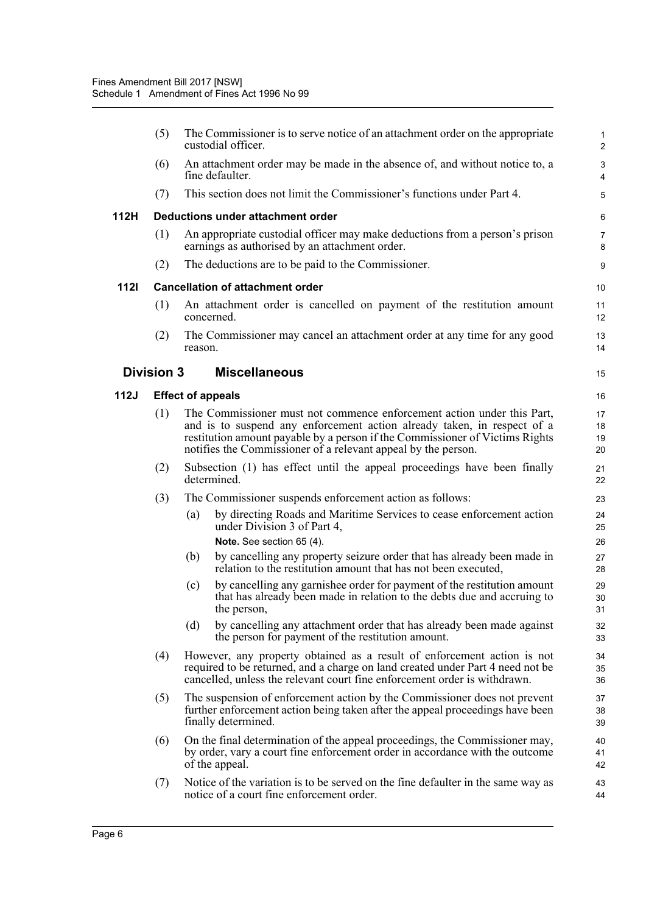|             | (5)                      |         | The Commissioner is to serve notice of an attachment order on the appropriate<br>custodial officer.                                                                                                                                                                                                | 1<br>$\overline{2}$  |  |  |  |
|-------------|--------------------------|---------|----------------------------------------------------------------------------------------------------------------------------------------------------------------------------------------------------------------------------------------------------------------------------------------------------|----------------------|--|--|--|
|             | (6)                      |         | An attachment order may be made in the absence of, and without notice to, a<br>fine defaulter.                                                                                                                                                                                                     | 3<br>4               |  |  |  |
|             | (7)                      |         | This section does not limit the Commissioner's functions under Part 4.                                                                                                                                                                                                                             | 5                    |  |  |  |
| 112H        |                          |         | Deductions under attachment order                                                                                                                                                                                                                                                                  | 6                    |  |  |  |
|             | (1)                      |         | An appropriate custodial officer may make deductions from a person's prison<br>earnings as authorised by an attachment order.                                                                                                                                                                      | $\overline{7}$<br>8  |  |  |  |
|             | (2)                      |         | The deductions are to be paid to the Commissioner.                                                                                                                                                                                                                                                 | 9                    |  |  |  |
| <b>1121</b> |                          |         | <b>Cancellation of attachment order</b>                                                                                                                                                                                                                                                            | 10                   |  |  |  |
|             | (1)                      |         | An attachment order is cancelled on payment of the restitution amount<br>concerned.                                                                                                                                                                                                                | 11<br>12             |  |  |  |
|             | (2)                      | reason. | The Commissioner may cancel an attachment order at any time for any good                                                                                                                                                                                                                           | 13<br>14             |  |  |  |
|             | <b>Division 3</b>        |         | <b>Miscellaneous</b>                                                                                                                                                                                                                                                                               | 15                   |  |  |  |
| 112J        | <b>Effect of appeals</b> |         |                                                                                                                                                                                                                                                                                                    |                      |  |  |  |
|             | (1)                      |         | The Commissioner must not commence enforcement action under this Part,<br>and is to suspend any enforcement action already taken, in respect of a<br>restitution amount payable by a person if the Commissioner of Victims Rights<br>notifies the Commissioner of a relevant appeal by the person. | 17<br>18<br>19<br>20 |  |  |  |
|             | (2)                      |         | Subsection (1) has effect until the appeal proceedings have been finally<br>determined.                                                                                                                                                                                                            | 21<br>22             |  |  |  |
|             | (3)                      |         | The Commissioner suspends enforcement action as follows:                                                                                                                                                                                                                                           | 23                   |  |  |  |
|             |                          | (a)     | by directing Roads and Maritime Services to cease enforcement action<br>under Division 3 of Part 4,                                                                                                                                                                                                | 24<br>25             |  |  |  |
|             |                          |         | Note. See section 65 (4).                                                                                                                                                                                                                                                                          | 26<br>27             |  |  |  |
|             |                          | (b)     | by cancelling any property seizure order that has already been made in<br>relation to the restitution amount that has not been executed,                                                                                                                                                           | 28                   |  |  |  |
|             |                          | (c)     | by cancelling any garnishee order for payment of the restitution amount<br>that has already been made in relation to the debts due and accruing to<br>the person.                                                                                                                                  | 29<br>30<br>31       |  |  |  |
|             |                          | (d)     | by cancelling any attachment order that has already been made against<br>the person for payment of the restitution amount.                                                                                                                                                                         | 32<br>33             |  |  |  |
|             | (4)                      |         | However, any property obtained as a result of enforcement action is not<br>required to be returned, and a charge on land created under Part 4 need not be<br>cancelled, unless the relevant court fine enforcement order is withdrawn.                                                             | 34<br>35<br>36       |  |  |  |
|             | (5)                      |         | The suspension of enforcement action by the Commissioner does not prevent<br>further enforcement action being taken after the appeal proceedings have been<br>finally determined.                                                                                                                  | 37<br>38<br>39       |  |  |  |
|             | (6)                      |         | On the final determination of the appeal proceedings, the Commissioner may,<br>by order, vary a court fine enforcement order in accordance with the outcome<br>of the appeal.                                                                                                                      | 40<br>41<br>42       |  |  |  |
|             | (7)                      |         | Notice of the variation is to be served on the fine defaulter in the same way as<br>notice of a court fine enforcement order.                                                                                                                                                                      | 43<br>44             |  |  |  |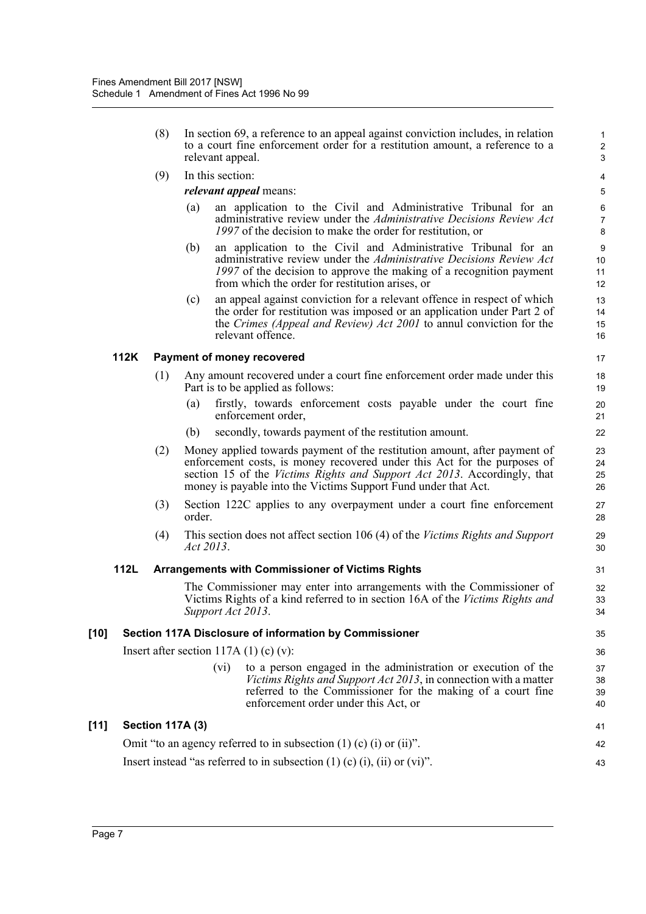- (8) In section 69, a reference to an appeal against conviction includes, in relation to a court fine enforcement order for a restitution amount, a reference to a relevant appeal.
- (9) In this section:

*relevant appeal* means:

(a) an application to the Civil and Administrative Tribunal for an administrative review under the *Administrative Decisions Review Act 1997* of the decision to make the order for restitution, or

- (b) an application to the Civil and Administrative Tribunal for an administrative review under the *Administrative Decisions Review Act 1997* of the decision to approve the making of a recognition payment from which the order for restitution arises, or
- (c) an appeal against conviction for a relevant offence in respect of which the order for restitution was imposed or an application under Part 2 of the *Crimes (Appeal and Review) Act 2001* to annul conviction for the relevant offence.

### **112K Payment of money recovered**

- (1) Any amount recovered under a court fine enforcement order made under this Part is to be applied as follows:
	- (a) firstly, towards enforcement costs payable under the court fine enforcement order,
	- (b) secondly, towards payment of the restitution amount.
- (2) Money applied towards payment of the restitution amount, after payment of enforcement costs, is money recovered under this Act for the purposes of section 15 of the *Victims Rights and Support Act 2013*. Accordingly, that money is payable into the Victims Support Fund under that Act.
- (3) Section 122C applies to any overpayment under a court fine enforcement order.
- (4) This section does not affect section 106 (4) of the *Victims Rights and Support Act 2013*.

#### **112L Arrangements with Commissioner of Victims Rights**

The Commissioner may enter into arrangements with the Commissioner of Victims Rights of a kind referred to in section 16A of the *Victims Rights and Support Act 2013*.

#### **[10] Section 117A Disclosure of information by Commissioner**

Insert after section  $117A(1)(c)(v)$ :

(vi) to a person engaged in the administration or execution of the *Victims Rights and Support Act 2013*, in connection with a matter referred to the Commissioner for the making of a court fine enforcement order under this Act, or

#### **[11] Section 117A (3)** Omit "to an agency referred to in subsection (1) (c) (i) or (ii)". Insert instead "as referred to in subsection  $(1)$   $(c)$   $(i)$ ,  $(ii)$  or  $(vi)$ ". 41 42 43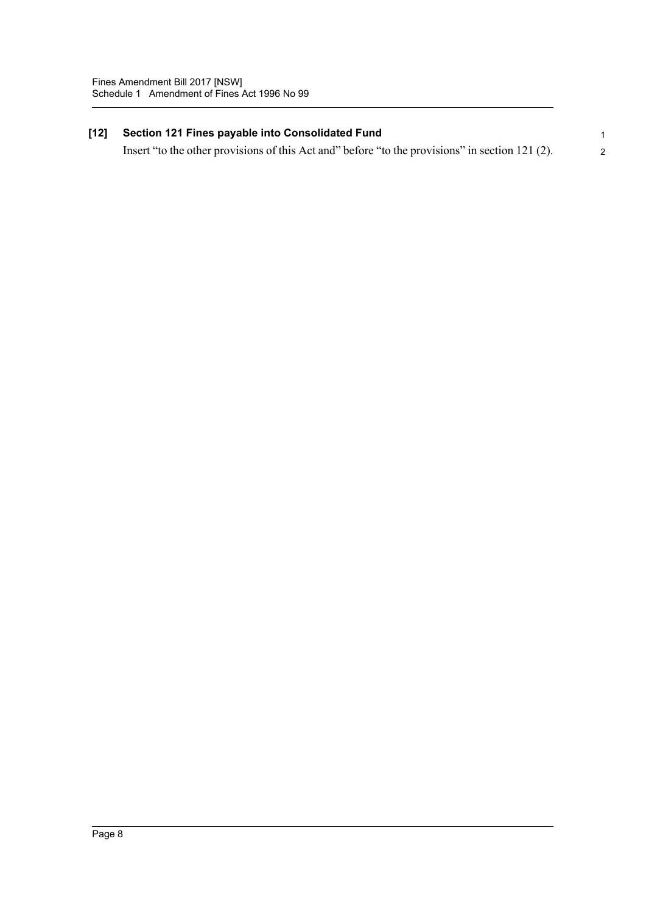# **[12] Section 121 Fines payable into Consolidated Fund**

1 2

Insert "to the other provisions of this Act and" before "to the provisions" in section 121 (2).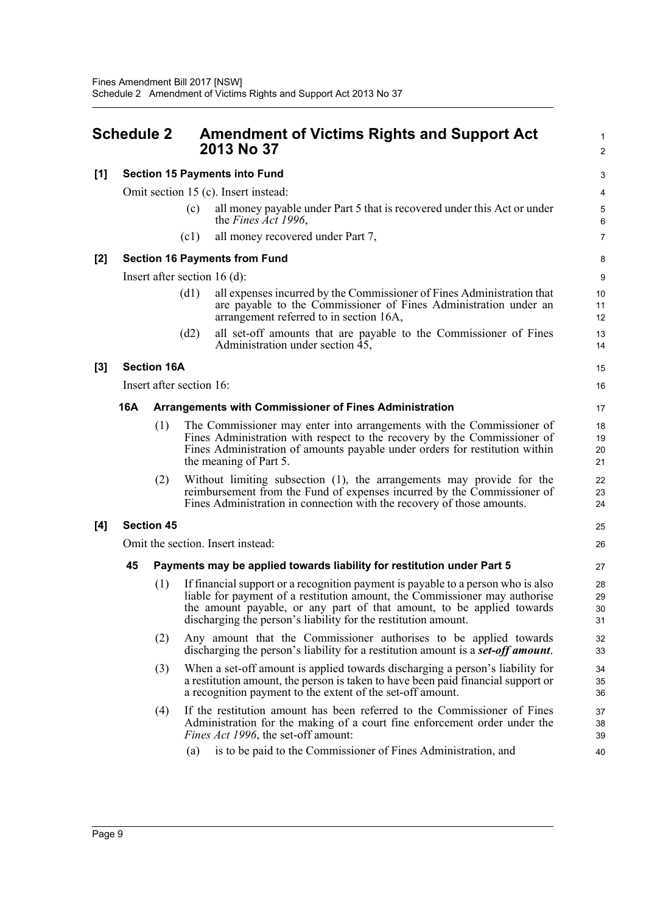<span id="page-12-0"></span>

| <b>Schedule 2</b> |                                                                      |                    |                          | <b>Amendment of Victims Rights and Support Act</b><br>2013 No 37                                                                                                                                                                                                                                          |                      |  |
|-------------------|----------------------------------------------------------------------|--------------------|--------------------------|-----------------------------------------------------------------------------------------------------------------------------------------------------------------------------------------------------------------------------------------------------------------------------------------------------------|----------------------|--|
| $[1]$             |                                                                      |                    |                          | <b>Section 15 Payments into Fund</b>                                                                                                                                                                                                                                                                      | 3                    |  |
|                   |                                                                      |                    |                          | Omit section 15 (c). Insert instead:                                                                                                                                                                                                                                                                      | 4                    |  |
|                   |                                                                      |                    | (c)                      | all money payable under Part 5 that is recovered under this Act or under<br>the Fines Act 1996,                                                                                                                                                                                                           | 5<br>6               |  |
|                   |                                                                      |                    | (c1)                     | all money recovered under Part 7,                                                                                                                                                                                                                                                                         | $\overline{7}$       |  |
| $[2]$             |                                                                      |                    |                          | <b>Section 16 Payments from Fund</b>                                                                                                                                                                                                                                                                      | 8                    |  |
|                   |                                                                      |                    |                          | Insert after section $16$ (d):                                                                                                                                                                                                                                                                            | 9                    |  |
|                   |                                                                      |                    | (d1)                     | all expenses incurred by the Commissioner of Fines Administration that<br>are payable to the Commissioner of Fines Administration under an<br>arrangement referred to in section 16A,                                                                                                                     | 10<br>11<br>12       |  |
|                   |                                                                      |                    | (d2)                     | all set-off amounts that are payable to the Commissioner of Fines<br>Administration under section 45,                                                                                                                                                                                                     | 13<br>14             |  |
| $[3]$             |                                                                      | <b>Section 16A</b> |                          |                                                                                                                                                                                                                                                                                                           | 15                   |  |
|                   |                                                                      |                    | Insert after section 16: |                                                                                                                                                                                                                                                                                                           | 16                   |  |
|                   | 16A<br><b>Arrangements with Commissioner of Fines Administration</b> |                    |                          | 17                                                                                                                                                                                                                                                                                                        |                      |  |
|                   |                                                                      | (1)                |                          | The Commissioner may enter into arrangements with the Commissioner of<br>Fines Administration with respect to the recovery by the Commissioner of<br>Fines Administration of amounts payable under orders for restitution within<br>the meaning of Part 5.                                                | 18<br>19<br>20<br>21 |  |
|                   |                                                                      | (2)                |                          | Without limiting subsection (1), the arrangements may provide for the<br>reimbursement from the Fund of expenses incurred by the Commissioner of<br>Fines Administration in connection with the recovery of those amounts.                                                                                | 22<br>23<br>24       |  |
| [4]               |                                                                      | <b>Section 45</b>  |                          |                                                                                                                                                                                                                                                                                                           | 25                   |  |
|                   |                                                                      |                    |                          | Omit the section. Insert instead:                                                                                                                                                                                                                                                                         | 26                   |  |
|                   | 45                                                                   |                    |                          | Payments may be applied towards liability for restitution under Part 5                                                                                                                                                                                                                                    | 27                   |  |
|                   |                                                                      | (1)                |                          | If financial support or a recognition payment is payable to a person who is also<br>liable for payment of a restitution amount, the Commissioner may authorise<br>the amount payable, or any part of that amount, to be applied towards<br>discharging the person's liability for the restitution amount. | 28<br>29<br>30<br>31 |  |
|                   |                                                                      | (2)                |                          | Any amount that the Commissioner authorises to be applied towards<br>discharging the person's liability for a restitution amount is a <b>set-off amount</b> .                                                                                                                                             | 32<br>33             |  |
|                   |                                                                      | (3)                |                          | When a set-off amount is applied towards discharging a person's liability for<br>a restitution amount, the person is taken to have been paid financial support or<br>a recognition payment to the extent of the set-off amount.                                                                           | 34<br>35<br>36       |  |
|                   |                                                                      | (4)                |                          | If the restitution amount has been referred to the Commissioner of Fines<br>Administration for the making of a court fine enforcement order under the<br><i>Fines Act 1996</i> , the set-off amount:                                                                                                      | 37<br>38<br>39       |  |
|                   |                                                                      |                    | (a)                      | is to be paid to the Commissioner of Fines Administration, and                                                                                                                                                                                                                                            | 40                   |  |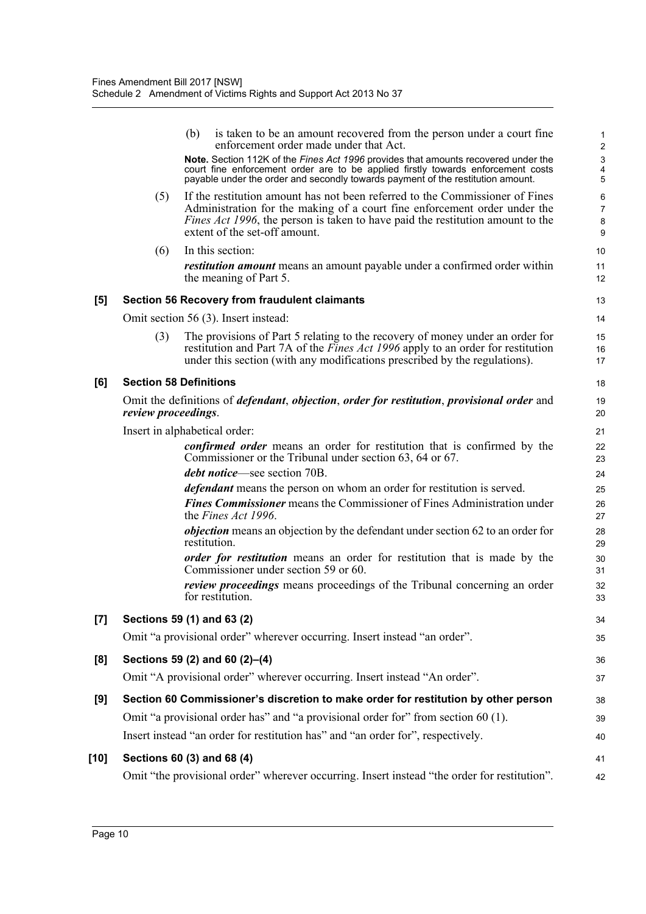|       |                               | is taken to be an amount recovered from the person under a court fine<br>(b)<br>enforcement order made under that Act.<br>Note. Section 112K of the Fines Act 1996 provides that amounts recovered under the<br>court fine enforcement order are to be applied firstly towards enforcement costs payable under the order and secondly towards payment of the restitution amount. | 1<br>$\overline{\mathbf{c}}$<br>3<br>4<br>5 |  |  |  |  |  |
|-------|-------------------------------|----------------------------------------------------------------------------------------------------------------------------------------------------------------------------------------------------------------------------------------------------------------------------------------------------------------------------------------------------------------------------------|---------------------------------------------|--|--|--|--|--|
|       | (5)                           | If the restitution amount has not been referred to the Commissioner of Fines<br>Administration for the making of a court fine enforcement order under the<br><i>Fines Act 1996</i> , the person is taken to have paid the restitution amount to the<br>extent of the set-off amount.                                                                                             | 6<br>7<br>8<br>9                            |  |  |  |  |  |
|       | (6)                           | In this section:                                                                                                                                                                                                                                                                                                                                                                 | 10                                          |  |  |  |  |  |
|       |                               | <i>restitution amount</i> means an amount payable under a confirmed order within<br>the meaning of Part 5.                                                                                                                                                                                                                                                                       | 11<br>12                                    |  |  |  |  |  |
| [5]   |                               | <b>Section 56 Recovery from fraudulent claimants</b>                                                                                                                                                                                                                                                                                                                             | 13                                          |  |  |  |  |  |
|       |                               | Omit section 56 (3). Insert instead:                                                                                                                                                                                                                                                                                                                                             | 14                                          |  |  |  |  |  |
|       | (3)                           | The provisions of Part 5 relating to the recovery of money under an order for<br>restitution and Part 7A of the <i>Fines Act 1996</i> apply to an order for restitution<br>under this section (with any modifications prescribed by the regulations).                                                                                                                            | 15<br>16<br>17                              |  |  |  |  |  |
| [6]   |                               | <b>Section 58 Definitions</b>                                                                                                                                                                                                                                                                                                                                                    | 18                                          |  |  |  |  |  |
|       | review proceedings.           | Omit the definitions of <i>defendant</i> , <i>objection</i> , <i>order for restitution</i> , <i>provisional order</i> and                                                                                                                                                                                                                                                        | 19<br>20                                    |  |  |  |  |  |
|       | Insert in alphabetical order: |                                                                                                                                                                                                                                                                                                                                                                                  |                                             |  |  |  |  |  |
|       |                               | <i>confirmed order</i> means an order for restitution that is confirmed by the<br>Commissioner or the Tribunal under section 63, 64 or 67.                                                                                                                                                                                                                                       | 22<br>23                                    |  |  |  |  |  |
|       |                               | <i>debt notice</i> —see section 70B.                                                                                                                                                                                                                                                                                                                                             | 24                                          |  |  |  |  |  |
|       |                               | <i>defendant</i> means the person on whom an order for restitution is served.<br><b>Fines Commissioner</b> means the Commissioner of Fines Administration under<br>the Fines Act 1996.                                                                                                                                                                                           | 25<br>26<br>27                              |  |  |  |  |  |
|       |                               | <i>objection</i> means an objection by the defendant under section 62 to an order for<br>restitution.                                                                                                                                                                                                                                                                            | 28<br>29                                    |  |  |  |  |  |
|       |                               | <i>order for restitution</i> means an order for restitution that is made by the<br>Commissioner under section 59 or 60.                                                                                                                                                                                                                                                          | 30<br>31                                    |  |  |  |  |  |
|       |                               | <i>review proceedings</i> means proceedings of the Tribunal concerning an order<br>for restitution.                                                                                                                                                                                                                                                                              | 32<br>33                                    |  |  |  |  |  |
| $[7]$ |                               | Sections 59 (1) and 63 (2)                                                                                                                                                                                                                                                                                                                                                       | 34                                          |  |  |  |  |  |
|       |                               | Omit "a provisional order" wherever occurring. Insert instead "an order".                                                                                                                                                                                                                                                                                                        | 35                                          |  |  |  |  |  |
| [8]   |                               | Sections 59 (2) and 60 (2)-(4)                                                                                                                                                                                                                                                                                                                                                   | 36                                          |  |  |  |  |  |
|       |                               | Omit "A provisional order" wherever occurring. Insert instead "An order".                                                                                                                                                                                                                                                                                                        | 37                                          |  |  |  |  |  |
| [9]   |                               | Section 60 Commissioner's discretion to make order for restitution by other person                                                                                                                                                                                                                                                                                               | 38                                          |  |  |  |  |  |
|       |                               | Omit "a provisional order has" and "a provisional order for" from section 60 (1).                                                                                                                                                                                                                                                                                                | 39                                          |  |  |  |  |  |
|       |                               | Insert instead "an order for restitution has" and "an order for", respectively.                                                                                                                                                                                                                                                                                                  | 40                                          |  |  |  |  |  |
| [10]  |                               | Sections 60 (3) and 68 (4)                                                                                                                                                                                                                                                                                                                                                       | 41                                          |  |  |  |  |  |
|       |                               | Omit "the provisional order" wherever occurring. Insert instead "the order for restitution".                                                                                                                                                                                                                                                                                     | 42                                          |  |  |  |  |  |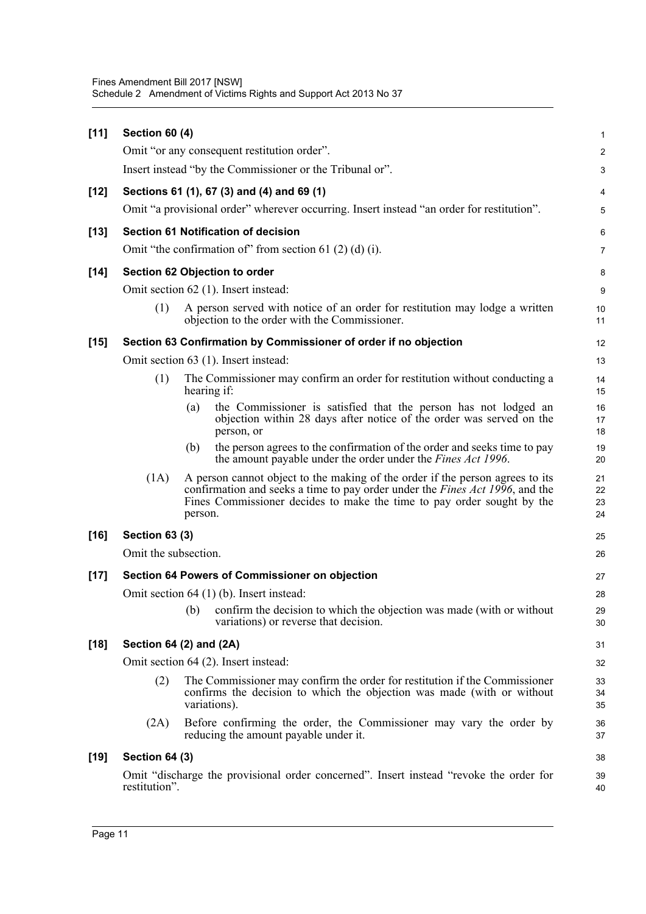| $[11]$ | <b>Section 60 (4)</b>   |              |                                                                                                                                                                                                                                                 | $\mathbf{1}$         |
|--------|-------------------------|--------------|-------------------------------------------------------------------------------------------------------------------------------------------------------------------------------------------------------------------------------------------------|----------------------|
|        |                         |              | Omit "or any consequent restitution order".                                                                                                                                                                                                     | $\overline{c}$       |
|        |                         |              | Insert instead "by the Commissioner or the Tribunal or".                                                                                                                                                                                        | 3                    |
| $[12]$ |                         |              | Sections 61 (1), 67 (3) and (4) and 69 (1)                                                                                                                                                                                                      | 4                    |
|        |                         |              | Omit "a provisional order" wherever occurring. Insert instead "an order for restitution".                                                                                                                                                       | 5                    |
| $[13]$ |                         |              | <b>Section 61 Notification of decision</b>                                                                                                                                                                                                      | 6                    |
|        |                         |              | Omit "the confirmation of" from section 61 $(2)$ $(d)$ $(i)$ .                                                                                                                                                                                  | $\overline{7}$       |
| $[14]$ |                         |              | Section 62 Objection to order                                                                                                                                                                                                                   | 8                    |
|        |                         |              | Omit section 62 (1). Insert instead:                                                                                                                                                                                                            | 9                    |
|        | (1)                     |              | A person served with notice of an order for restitution may lodge a written<br>objection to the order with the Commissioner.                                                                                                                    | 10<br>11             |
| $[15]$ |                         |              | Section 63 Confirmation by Commissioner of order if no objection                                                                                                                                                                                | 12                   |
|        |                         |              | Omit section 63 (1). Insert instead:                                                                                                                                                                                                            | 13                   |
|        | (1)                     | hearing if:  | The Commissioner may confirm an order for restitution without conducting a                                                                                                                                                                      | 14<br>15             |
|        |                         | (a)          | the Commissioner is satisfied that the person has not lodged an<br>objection within 28 days after notice of the order was served on the<br>person, or                                                                                           | 16<br>17<br>18       |
|        |                         | (b)          | the person agrees to the confirmation of the order and seeks time to pay<br>the amount payable under the order under the Fines Act 1996.                                                                                                        | 19<br>20             |
|        | (1A)                    | person.      | A person cannot object to the making of the order if the person agrees to its<br>confirmation and seeks a time to pay order under the <i>Fines Act 1996</i> , and the<br>Fines Commissioner decides to make the time to pay order sought by the | 21<br>22<br>23<br>24 |
| $[16]$ | <b>Section 63 (3)</b>   |              |                                                                                                                                                                                                                                                 | 25                   |
|        | Omit the subsection.    |              |                                                                                                                                                                                                                                                 | 26                   |
| $[17]$ |                         |              | Section 64 Powers of Commissioner on objection                                                                                                                                                                                                  | 27                   |
|        |                         |              | Omit section $64$ (1) (b). Insert instead:                                                                                                                                                                                                      | 28                   |
|        |                         |              | (b) confirm the decision to which the objection was made (with or without<br>variations) or reverse that decision.                                                                                                                              | 29<br>30             |
| $[18]$ | Section 64 (2) and (2A) |              |                                                                                                                                                                                                                                                 | 31                   |
|        |                         |              | Omit section 64 (2). Insert instead:                                                                                                                                                                                                            | 32                   |
|        | (2)                     | variations). | The Commissioner may confirm the order for restitution if the Commissioner<br>confirms the decision to which the objection was made (with or without                                                                                            | 33<br>34<br>35       |
|        | (2A)                    |              | Before confirming the order, the Commissioner may vary the order by<br>reducing the amount payable under it.                                                                                                                                    | 36<br>37             |
| $[19]$ | <b>Section 64 (3)</b>   |              |                                                                                                                                                                                                                                                 | 38                   |
|        | restitution".           |              | Omit "discharge the provisional order concerned". Insert instead "revoke the order for                                                                                                                                                          | 39<br>40             |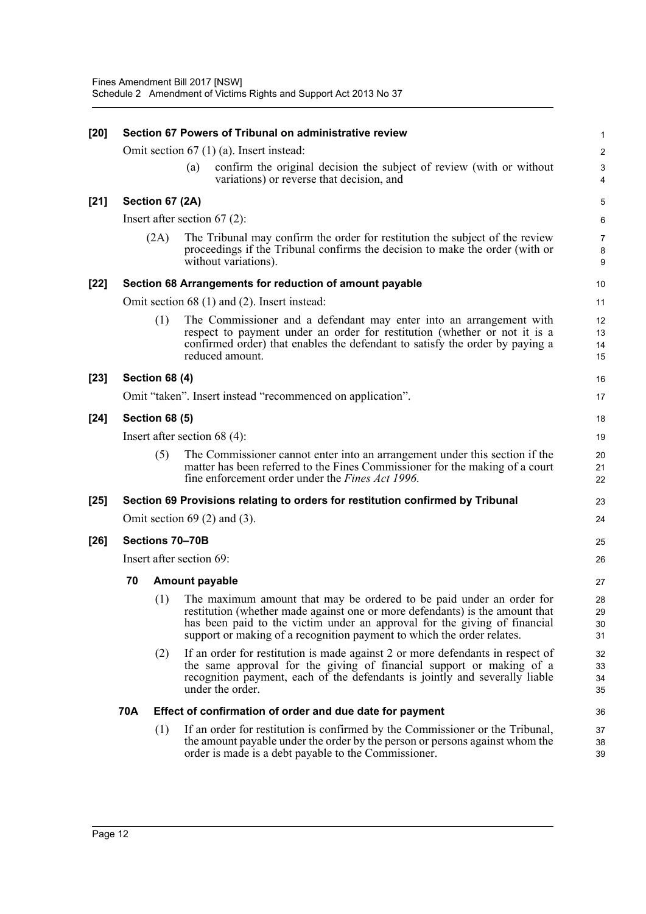| $[20]$ | Section 67 Powers of Tribunal on administrative review |                       |     |                                                                                                                                                                                                                                                                                                             |                                |  |  |
|--------|--------------------------------------------------------|-----------------------|-----|-------------------------------------------------------------------------------------------------------------------------------------------------------------------------------------------------------------------------------------------------------------------------------------------------------------|--------------------------------|--|--|
|        |                                                        |                       |     | Omit section $67$ (1) (a). Insert instead:                                                                                                                                                                                                                                                                  | $\overline{c}$                 |  |  |
|        |                                                        |                       | (a) | confirm the original decision the subject of review (with or without<br>variations) or reverse that decision, and                                                                                                                                                                                           | 3<br>$\overline{4}$            |  |  |
| $[21]$ |                                                        | Section 67 (2A)       |     |                                                                                                                                                                                                                                                                                                             | 5                              |  |  |
|        |                                                        |                       |     | Insert after section $67(2)$ :                                                                                                                                                                                                                                                                              | 6                              |  |  |
|        |                                                        | (2A)                  |     | The Tribunal may confirm the order for restitution the subject of the review<br>proceedings if the Tribunal confirms the decision to make the order (with or<br>without variations).                                                                                                                        | $\overline{7}$<br>$\bf 8$<br>9 |  |  |
| $[22]$ |                                                        |                       |     | Section 68 Arrangements for reduction of amount payable                                                                                                                                                                                                                                                     | 10                             |  |  |
|        |                                                        |                       |     | Omit section 68 (1) and (2). Insert instead:                                                                                                                                                                                                                                                                | 11                             |  |  |
|        |                                                        | (1)                   |     | The Commissioner and a defendant may enter into an arrangement with<br>respect to payment under an order for restitution (whether or not it is a<br>confirmed order) that enables the defendant to satisfy the order by paying a<br>reduced amount.                                                         | 12<br>13<br>14<br>15           |  |  |
| $[23]$ |                                                        | <b>Section 68 (4)</b> |     |                                                                                                                                                                                                                                                                                                             | 16                             |  |  |
|        |                                                        |                       |     | Omit "taken". Insert instead "recommenced on application".                                                                                                                                                                                                                                                  | 17                             |  |  |
| $[24]$ | <b>Section 68 (5)</b>                                  |                       |     |                                                                                                                                                                                                                                                                                                             |                                |  |  |
|        |                                                        |                       |     | Insert after section 68 $(4)$ :                                                                                                                                                                                                                                                                             | 19                             |  |  |
|        |                                                        | (5)                   |     | The Commissioner cannot enter into an arrangement under this section if the<br>matter has been referred to the Fines Commissioner for the making of a court<br>fine enforcement order under the <i>Fines Act 1996</i> .                                                                                     | 20<br>21<br>22                 |  |  |
| $[25]$ |                                                        |                       |     | Section 69 Provisions relating to orders for restitution confirmed by Tribunal                                                                                                                                                                                                                              | 23                             |  |  |
|        |                                                        |                       |     | Omit section $69(2)$ and $(3)$ .                                                                                                                                                                                                                                                                            | 24                             |  |  |
| $[26]$ | Sections 70-70B                                        |                       |     |                                                                                                                                                                                                                                                                                                             |                                |  |  |
|        | Insert after section 69:                               |                       |     |                                                                                                                                                                                                                                                                                                             |                                |  |  |
|        | 70                                                     |                       |     | <b>Amount payable</b>                                                                                                                                                                                                                                                                                       | 27                             |  |  |
|        |                                                        | (1)                   |     | The maximum amount that may be ordered to be paid under an order for<br>restitution (whether made against one or more defendants) is the amount that<br>has been paid to the victim under an approval for the giving of financial<br>support or making of a recognition payment to which the order relates. | 28<br>29<br>30<br>31           |  |  |
|        |                                                        | (2)                   |     | If an order for restitution is made against 2 or more defendants in respect of<br>the same approval for the giving of financial support or making of a<br>recognition payment, each of the defendants is jointly and severally liable<br>under the order.                                                   | 32<br>33<br>34<br>35           |  |  |
|        | <b>70A</b>                                             |                       |     | Effect of confirmation of order and due date for payment                                                                                                                                                                                                                                                    | 36                             |  |  |
|        |                                                        | (1)                   |     | If an order for restitution is confirmed by the Commissioner or the Tribunal,<br>the amount payable under the order by the person or persons against whom the<br>order is made is a debt payable to the Commissioner.                                                                                       | 37<br>38<br>39                 |  |  |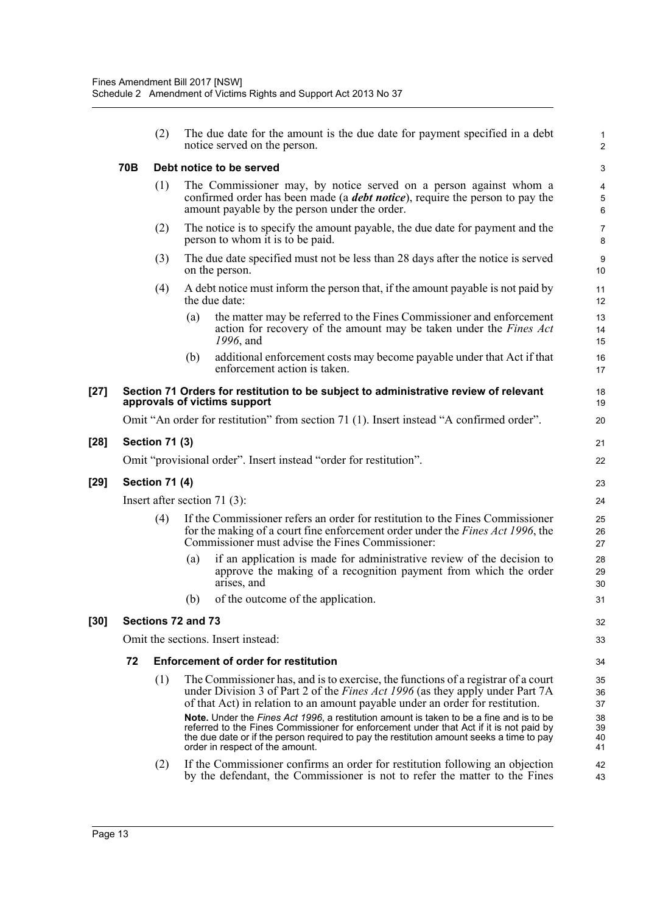|      |                                 | (2)                   |     | The due date for the amount is the due date for payment specified in a debt<br>notice served on the person.                                                                                                                                                                                                                                                                                                                                                                                                                                                                    | $\mathbf{1}$<br>$\overline{2}$              |  |  |
|------|---------------------------------|-----------------------|-----|--------------------------------------------------------------------------------------------------------------------------------------------------------------------------------------------------------------------------------------------------------------------------------------------------------------------------------------------------------------------------------------------------------------------------------------------------------------------------------------------------------------------------------------------------------------------------------|---------------------------------------------|--|--|
|      | 70B                             |                       |     | Debt notice to be served                                                                                                                                                                                                                                                                                                                                                                                                                                                                                                                                                       | 3                                           |  |  |
|      |                                 | (1)                   |     | The Commissioner may, by notice served on a person against whom a<br>confirmed order has been made (a <i>debt notice</i> ), require the person to pay the<br>amount payable by the person under the order.                                                                                                                                                                                                                                                                                                                                                                     | $\overline{\mathbf{4}}$<br>$\mathbf 5$<br>6 |  |  |
|      |                                 | (2)                   |     | The notice is to specify the amount payable, the due date for payment and the<br>person to whom it is to be paid.                                                                                                                                                                                                                                                                                                                                                                                                                                                              | $\overline{7}$<br>8                         |  |  |
|      |                                 | (3)                   |     | The due date specified must not be less than 28 days after the notice is served<br>on the person.                                                                                                                                                                                                                                                                                                                                                                                                                                                                              | $\boldsymbol{9}$<br>10                      |  |  |
|      |                                 | (4)                   |     | A debt notice must inform the person that, if the amount payable is not paid by<br>the due date:                                                                                                                                                                                                                                                                                                                                                                                                                                                                               | 11<br>12                                    |  |  |
|      |                                 |                       | (a) | the matter may be referred to the Fines Commissioner and enforcement<br>action for recovery of the amount may be taken under the <i>Fines Act</i><br>1996, and                                                                                                                                                                                                                                                                                                                                                                                                                 | 13<br>14<br>15                              |  |  |
|      |                                 |                       | (b) | additional enforcement costs may become payable under that Act if that<br>enforcement action is taken.                                                                                                                                                                                                                                                                                                                                                                                                                                                                         | 16<br>17                                    |  |  |
| [27] |                                 |                       |     | Section 71 Orders for restitution to be subject to administrative review of relevant<br>approvals of victims support                                                                                                                                                                                                                                                                                                                                                                                                                                                           | 18<br>19                                    |  |  |
|      |                                 |                       |     | Omit "An order for restitution" from section 71 (1). Insert instead "A confirmed order".                                                                                                                                                                                                                                                                                                                                                                                                                                                                                       | 20                                          |  |  |
| [28] |                                 | <b>Section 71 (3)</b> |     |                                                                                                                                                                                                                                                                                                                                                                                                                                                                                                                                                                                | 21                                          |  |  |
|      |                                 |                       |     | Omit "provisional order". Insert instead "order for restitution".                                                                                                                                                                                                                                                                                                                                                                                                                                                                                                              | 22                                          |  |  |
| [29] | <b>Section 71 (4)</b>           |                       |     |                                                                                                                                                                                                                                                                                                                                                                                                                                                                                                                                                                                |                                             |  |  |
|      | Insert after section 71 $(3)$ : |                       |     |                                                                                                                                                                                                                                                                                                                                                                                                                                                                                                                                                                                |                                             |  |  |
|      |                                 | (4)                   |     | If the Commissioner refers an order for restitution to the Fines Commissioner<br>for the making of a court fine enforcement order under the <i>Fines Act 1996</i> , the<br>Commissioner must advise the Fines Commissioner:                                                                                                                                                                                                                                                                                                                                                    | 25<br>26<br>27                              |  |  |
|      |                                 |                       | (a) | if an application is made for administrative review of the decision to<br>approve the making of a recognition payment from which the order<br>arises, and                                                                                                                                                                                                                                                                                                                                                                                                                      | 28<br>29<br>30                              |  |  |
|      |                                 |                       | (b) | of the outcome of the application.                                                                                                                                                                                                                                                                                                                                                                                                                                                                                                                                             | 31                                          |  |  |
| [30] | Sections 72 and 73              |                       |     |                                                                                                                                                                                                                                                                                                                                                                                                                                                                                                                                                                                |                                             |  |  |
|      |                                 |                       |     | Omit the sections. Insert instead:                                                                                                                                                                                                                                                                                                                                                                                                                                                                                                                                             | 33                                          |  |  |
|      | 72                              |                       |     | <b>Enforcement of order for restitution</b>                                                                                                                                                                                                                                                                                                                                                                                                                                                                                                                                    | 34                                          |  |  |
|      |                                 | (1)                   |     | The Commissioner has, and is to exercise, the functions of a registrar of a court<br>under Division 3 of Part 2 of the <i>Fines Act 1996</i> (as they apply under Part 7A<br>of that Act) in relation to an amount payable under an order for restitution.<br>Note. Under the Fines Act 1996, a restitution amount is taken to be a fine and is to be<br>referred to the Fines Commissioner for enforcement under that Act if it is not paid by<br>the due date or if the person required to pay the restitution amount seeks a time to pay<br>order in respect of the amount. | 35<br>36<br>37<br>38<br>39<br>40<br>41      |  |  |
|      |                                 | (2)                   |     | If the Commissioner confirms an order for restitution following an objection<br>by the defendant, the Commissioner is not to refer the matter to the Fines                                                                                                                                                                                                                                                                                                                                                                                                                     | 42<br>43                                    |  |  |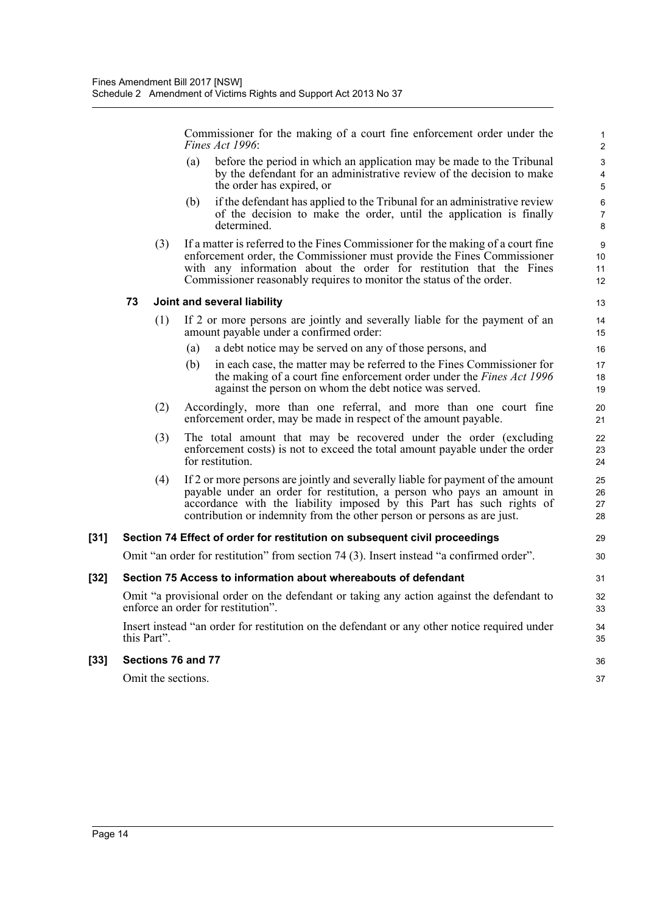Commissioner for the making of a court fine enforcement order under the *Fines Act 1996*:

- (a) before the period in which an application may be made to the Tribunal by the defendant for an administrative review of the decision to make the order has expired, or
- (b) if the defendant has applied to the Tribunal for an administrative review of the decision to make the order, until the application is finally determined.
- (3) If a matter is referred to the Fines Commissioner for the making of a court fine enforcement order, the Commissioner must provide the Fines Commissioner with any information about the order for restitution that the Fines Commissioner reasonably requires to monitor the status of the order.

### **73 Joint and several liability**

- (1) If 2 or more persons are jointly and severally liable for the payment of an amount payable under a confirmed order:
	- (a) a debt notice may be served on any of those persons, and
	- (b) in each case, the matter may be referred to the Fines Commissioner for the making of a court fine enforcement order under the *Fines Act 1996* against the person on whom the debt notice was served.
- (2) Accordingly, more than one referral, and more than one court fine enforcement order, may be made in respect of the amount payable.
- (3) The total amount that may be recovered under the order (excluding enforcement costs) is not to exceed the total amount payable under the order for restitution.
- (4) If 2 or more persons are jointly and severally liable for payment of the amount payable under an order for restitution, a person who pays an amount in accordance with the liability imposed by this Part has such rights of contribution or indemnity from the other person or persons as are just.

### **[31] Section 74 Effect of order for restitution on subsequent civil proceedings**

Omit "an order for restitution" from section 74 (3). Insert instead "a confirmed order".

#### **[32] Section 75 Access to information about whereabouts of defendant**

Omit "a provisional order on the defendant or taking any action against the defendant to enforce an order for restitution".

Insert instead "an order for restitution on the defendant or any other notice required under this Part".

#### **[33] Sections 76 and 77**

Omit the sections.

36 37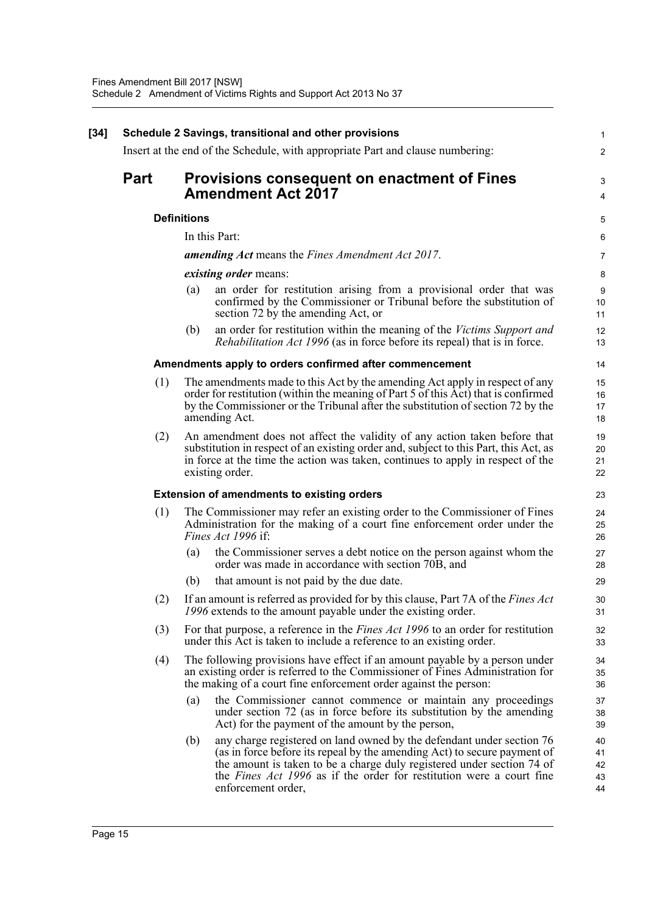| $[34]$ |             |                    | Schedule 2 Savings, transitional and other provisions                                                                                                                                                                                                                                                                            | 1                          |
|--------|-------------|--------------------|----------------------------------------------------------------------------------------------------------------------------------------------------------------------------------------------------------------------------------------------------------------------------------------------------------------------------------|----------------------------|
|        |             |                    | Insert at the end of the Schedule, with appropriate Part and clause numbering:                                                                                                                                                                                                                                                   | $\overline{c}$             |
|        | <b>Part</b> |                    | Provisions consequent on enactment of Fines<br><b>Amendment Act 2017</b>                                                                                                                                                                                                                                                         | 3<br>4                     |
|        |             | <b>Definitions</b> |                                                                                                                                                                                                                                                                                                                                  | 5                          |
|        |             |                    | In this Part:                                                                                                                                                                                                                                                                                                                    | 6                          |
|        |             |                    | <b>amending Act</b> means the Fines Amendment Act 2017.                                                                                                                                                                                                                                                                          | $\overline{7}$             |
|        |             |                    | <i>existing order</i> means:                                                                                                                                                                                                                                                                                                     | 8                          |
|        |             | (a)                | an order for restitution arising from a provisional order that was<br>confirmed by the Commissioner or Tribunal before the substitution of<br>section 72 by the amending Act, or                                                                                                                                                 | 9<br>10<br>11              |
|        |             | (b)                | an order for restitution within the meaning of the Victims Support and<br><i>Rehabilitation Act 1996</i> (as in force before its repeal) that is in force.                                                                                                                                                                       | 12<br>13                   |
|        |             |                    | Amendments apply to orders confirmed after commencement                                                                                                                                                                                                                                                                          | 14                         |
|        | (1)         |                    | The amendments made to this Act by the amending Act apply in respect of any<br>order for restitution (within the meaning of Part 5 of this Act) that is confirmed<br>by the Commissioner or the Tribunal after the substitution of section 72 by the<br>amending Act.                                                            | 15<br>16<br>17<br>18       |
|        | (2)         |                    | An amendment does not affect the validity of any action taken before that<br>substitution in respect of an existing order and, subject to this Part, this Act, as<br>in force at the time the action was taken, continues to apply in respect of the<br>existing order.                                                          | 19<br>20<br>21<br>22       |
|        |             |                    | <b>Extension of amendments to existing orders</b>                                                                                                                                                                                                                                                                                | 23                         |
|        | (1)         |                    | The Commissioner may refer an existing order to the Commissioner of Fines<br>Administration for the making of a court fine enforcement order under the<br><i>Fines Act 1996</i> if:                                                                                                                                              | 24<br>25<br>26             |
|        |             | (a)                | the Commissioner serves a debt notice on the person against whom the<br>order was made in accordance with section 70B, and                                                                                                                                                                                                       | 27<br>28                   |
|        |             | (b)                | that amount is not paid by the due date.                                                                                                                                                                                                                                                                                         | 29                         |
|        | (2)         |                    | If an amount is referred as provided for by this clause, Part 7A of the <i>Fines Act</i><br>1996 extends to the amount payable under the existing order.                                                                                                                                                                         | 30<br>31                   |
|        | (3)         |                    | For that purpose, a reference in the <i>Fines Act 1996</i> to an order for restitution<br>under this Act is taken to include a reference to an existing order.                                                                                                                                                                   | 32<br>33                   |
|        | (4)         |                    | The following provisions have effect if an amount payable by a person under<br>an existing order is referred to the Commissioner of Fines Administration for<br>the making of a court fine enforcement order against the person:                                                                                                 | 34<br>35<br>36             |
|        |             | (a)                | the Commissioner cannot commence or maintain any proceedings<br>under section 72 (as in force before its substitution by the amending<br>Act) for the payment of the amount by the person,                                                                                                                                       | 37<br>38<br>39             |
|        |             | (b)                | any charge registered on land owned by the defendant under section 76<br>(as in force before its repeal by the amending Act) to secure payment of<br>the amount is taken to be a charge duly registered under section 74 of<br>the <i>Fines Act 1996</i> as if the order for restitution were a court fine<br>enforcement order, | 40<br>41<br>42<br>43<br>44 |